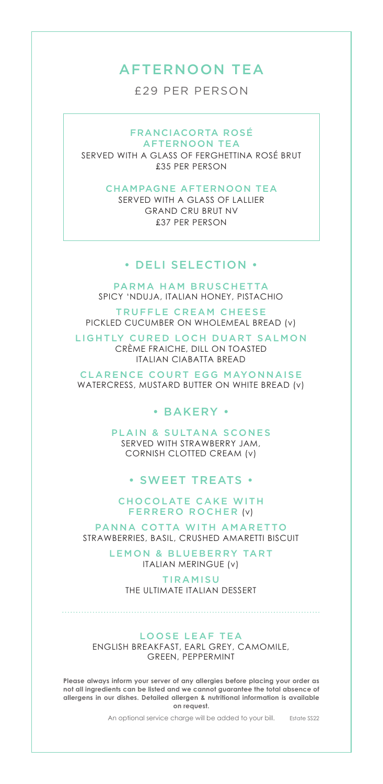## AFTERNOON TEA

£29 PER PERSON

FRANCIACORTA ROSÉ AFTERNOON TEA

SERVED WITH A GLASS OF FERGHETTINA ROSÉ BRUT £35 PER PERSON

#### CHAMPAGNE AFTERNOON TEA

SERVED WITH A GLASS OF LALLIER GRAND CRU BRUT NV £37 PER PERSON

#### • DELI SELECTION •

PARMA HAM BRUSCHETTA SPICY 'NDUJA, ITALIAN HONEY, PISTACHIO

TRUFFLE CREAM CHEESE PICKLED CUCUMBER ON WHOLEMEAL BREAD (v)

LIGHTLY CURED LOCH DUART SALMON CRÈME FRAICHE, DILL ON TOASTED ITALIAN CIABATTA BREAD

CLARENCE COURT EGG MAYONNAISE WATERCRESS, MUSTARD BUTTER ON WHITE BREAD (v)

## • BAKERY •

PLAIN & SULTANA SCONES SERVED WITH STRAWBERRY JAM, CORNISH CLOTTED CREAM (v)

## • SWEET TREATS •

**CHOCOLATE CAKE WITH** FERRERO ROCHER (v)

PANNA COTTA WITH AMARETTO STRAWBERRIES, BASIL, CRUSHED AMARETTI BISCUIT

> LEMON & BLUEBERRY TART ITALIAN MERINGUE (v)

**TIRAMISU** THE ULTIMATE ITALIAN DESSERT

#### LOOSE LEAF TEA

ENGLISH BREAKFAST, EARL GREY, CAMOMILE, GREEN, PEPPERMINT

**Please always inform your server of any allergies before placing your order as not all ingredients can be listed and we cannot guarantee the total absence of allergens in our dishes. Detailed allergen & nutritional information is available on request.** 

> Estate SS22 An optional service charge will be added to your bill.